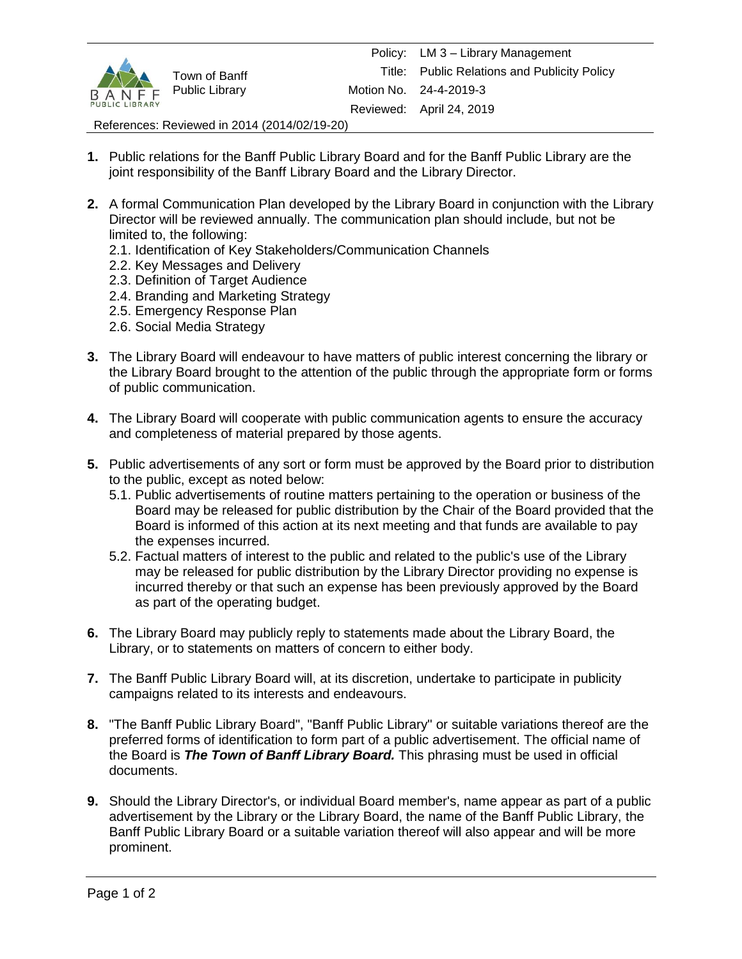

References: Reviewed in 2014 (2014/02/19-20)

- **1.** Public relations for the Banff Public Library Board and for the Banff Public Library are the joint responsibility of the Banff Library Board and the Library Director.
- **2.** A formal Communication Plan developed by the Library Board in conjunction with the Library Director will be reviewed annually. The communication plan should include, but not be limited to, the following:
	- 2.1. Identification of Key Stakeholders/Communication Channels
	- 2.2. Key Messages and Delivery
	- 2.3. Definition of Target Audience
	- 2.4. Branding and Marketing Strategy
	- 2.5. Emergency Response Plan
	- 2.6. Social Media Strategy
- **3.** The Library Board will endeavour to have matters of public interest concerning the library or the Library Board brought to the attention of the public through the appropriate form or forms of public communication.
- **4.** The Library Board will cooperate with public communication agents to ensure the accuracy and completeness of material prepared by those agents.
- **5.** Public advertisements of any sort or form must be approved by the Board prior to distribution to the public, except as noted below:
	- 5.1. Public advertisements of routine matters pertaining to the operation or business of the Board may be released for public distribution by the Chair of the Board provided that the Board is informed of this action at its next meeting and that funds are available to pay the expenses incurred.
	- 5.2. Factual matters of interest to the public and related to the public's use of the Library may be released for public distribution by the Library Director providing no expense is incurred thereby or that such an expense has been previously approved by the Board as part of the operating budget.
- **6.** The Library Board may publicly reply to statements made about the Library Board, the Library, or to statements on matters of concern to either body.
- **7.** The Banff Public Library Board will, at its discretion, undertake to participate in publicity campaigns related to its interests and endeavours.
- **8.** "The Banff Public Library Board", "Banff Public Library" or suitable variations thereof are the preferred forms of identification to form part of a public advertisement. The official name of the Board is *The Town of Banff Library Board.* This phrasing must be used in official documents.
- **9.** Should the Library Director's, or individual Board member's, name appear as part of a public advertisement by the Library or the Library Board, the name of the Banff Public Library, the Banff Public Library Board or a suitable variation thereof will also appear and will be more prominent.